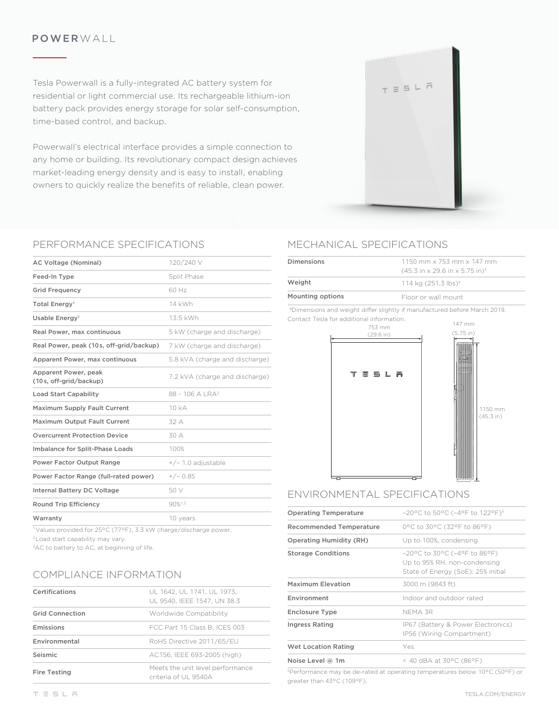### POWERWALL

Tesla Powerwall is a fully-integrated AC battery system for residential or light commercial use. Its rechargeable lithium-ion battery pack provides energy storage for solar self-consumption, time-based control, and backup.

Powerwall's electrical interface provides a simple connection to any home or building. Its revolutionary compact design achieves market-leading energy density and is easy to install, enabling owners to quickly realize the benefits of reliable, clean power.

### PERFORMANCE SPECIFICATIONS

| AC Voltage (Nominal)                           | 120/240 V                      |
|------------------------------------------------|--------------------------------|
| Feed-In Type                                   | Split Phase                    |
| <b>Grid Frequency</b>                          | 60 Hz                          |
| Total Energy <sup>1</sup>                      | 14 kWh                         |
| Usable Energy <sup>1</sup>                     | 13.5 kWh                       |
| Real Power, max continuous                     | 5 kW (charge and discharge)    |
| Real Power, peak (10s, off-grid/backup)        | 7 kW (charge and discharge)    |
| Apparent Power, max continuous                 | 5.8 kVA (charge and discharge) |
| Apparent Power, peak<br>(10s, off-grid/backup) | 7.2 kVA (charge and discharge) |
| <b>Load Start Capability</b>                   | $88 - 106$ A I RA <sup>2</sup> |
| <b>Maximum Supply Fault Current</b>            | 10 <sub>k</sub> A              |
| Maximum Output Fault Current                   | 32 A                           |
| <b>Overcurrent Protection Device</b>           | 30 A                           |
| Imbalance for Split-Phase Loads                | 100%                           |
| <b>Power Factor Output Range</b>               | $+/- 1.0$ adjustable           |
| Power Factor Range (full-rated power)          | $+/- 0.85$                     |
| <b>Internal Battery DC Voltage</b>             | 50 V                           |
| <b>Round Trip Efficiency</b>                   | 90%1.3                         |
| Warranty                                       | 10 years                       |

1Values provided for 25°C (77°F), 3.3 kW charge/discharge power. 2Load start capability may vary.

<sup>3</sup>AC to battery to AC, at beginning of life.

### COMPLIANCE INFORMATION

| Certifications         | UL 1642, UL 1741, UL 1973,<br>UL 9540. IEEE 1547. UN 38.3 |
|------------------------|-----------------------------------------------------------|
| <b>Grid Connection</b> | Worldwide Compatibility                                   |
| Emissions              | FCC Part 15 Class B. ICES 003                             |
| Environmental          | RoHS Directive 2011/65/EU                                 |
| Seismic                | AC156, IEEE 693-2005 (high)                               |
| <b>Fire Testing</b>    | Meets the unit level performance<br>criteria of UL 9540A  |

# MECHANICAL SPECIFICATIONS

| Dimensions       | $1150$ mm x 753 mm x 147 mm<br>$(45.3 \text{ in} \times 29.6 \text{ in} \times 5.75 \text{ in})^4$ |
|------------------|----------------------------------------------------------------------------------------------------|
| Weight           | 114 kg (251.3 lbs) <sup>4</sup>                                                                    |
| Mounting options | Floor or wall mount                                                                                |
|                  |                                                                                                    |

 $T \equiv 5 L \bar{m}$ 

4Dimensions and weight differ slightly if manufactured before March 2019. Contact Tesla for additional information.



# ENVIRONMENTAL SPECIFICATIONS

| <b>Operating Temperature</b>   | $-20^{\circ}$ C to 50°C (-4°F to 122°F) <sup>5</sup>                                                  |
|--------------------------------|-------------------------------------------------------------------------------------------------------|
| Recommended Temperature        | 0°C to 30°C (32°F to 86°F)                                                                            |
| <b>Operating Humidity (RH)</b> | Up to 100%, condensing                                                                                |
| <b>Storage Conditions</b>      | $-20$ °C to 30°C (-4°F to 86°F)<br>Up to 95% RH, non-condensing<br>State of Energy (SoE): 25% initial |
| Maximum Elevation              | 3000 m (9843 ft)                                                                                      |
| Environment                    | Indoor and outdoor rated                                                                              |
| <b>Enclosure Type</b>          | NFMA 3R                                                                                               |
| <b>Ingress Rating</b>          | IP67 (Battery & Power Electronics)<br>IP56 (Wiring Compartment)                                       |
| <b>Wet Location Rating</b>     | Yes                                                                                                   |
| Noise Level $@$ 1m             | < 40 dBA at 30 $^{\circ}$ C (86 $^{\circ}$ F)                                                         |

<sup>5</sup>Performance may be de-rated at operating temperatures below 10°C (50°F) or greater than 43°C (109°F).